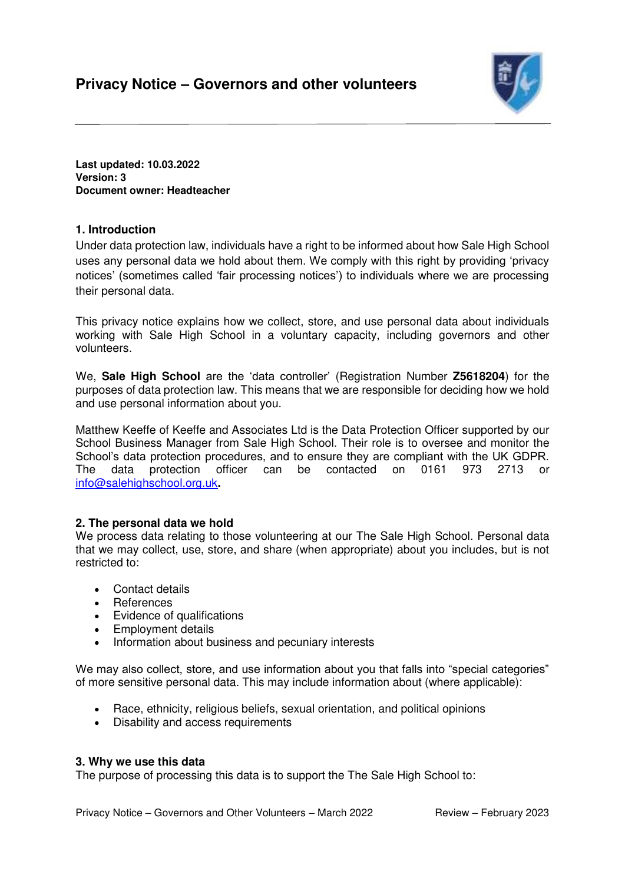

**Last updated: 10.03.2022 Version: 3 Document owner: Headteacher** 

# **1. Introduction**

Under data protection law, individuals have a right to be informed about how Sale High School uses any personal data we hold about them. We comply with this right by providing 'privacy notices' (sometimes called 'fair processing notices') to individuals where we are processing their personal data.

This privacy notice explains how we collect, store, and use personal data about individuals working with Sale High School in a voluntary capacity, including governors and other volunteers.

We, **Sale High School** are the 'data controller' (Registration Number **Z5618204**) for the purposes of data protection law. This means that we are responsible for deciding how we hold and use personal information about you.

Matthew Keeffe of Keeffe and Associates Ltd is the Data Protection Officer supported by our School Business Manager from Sale High School. Their role is to oversee and monitor the School's data protection procedures, and to ensure they are compliant with the UK GDPR. The data protection officer can be contacted on 0161 973 2713 or [info@salehighschool.org.uk](mailto:info@salehighschool.org.uk)**.** 

## **2. The personal data we hold**

We process data relating to those volunteering at our The Sale High School. Personal data that we may collect, use, store, and share (when appropriate) about you includes, but is not restricted to:

- Contact details
- References
- Evidence of qualifications
- Employment details
- Information about business and pecuniary interests

We may also collect, store, and use information about you that falls into "special categories" of more sensitive personal data. This may include information about (where applicable):

- Race, ethnicity, religious beliefs, sexual orientation, and political opinions
- Disability and access requirements

### **3. Why we use this data**

The purpose of processing this data is to support the The Sale High School to: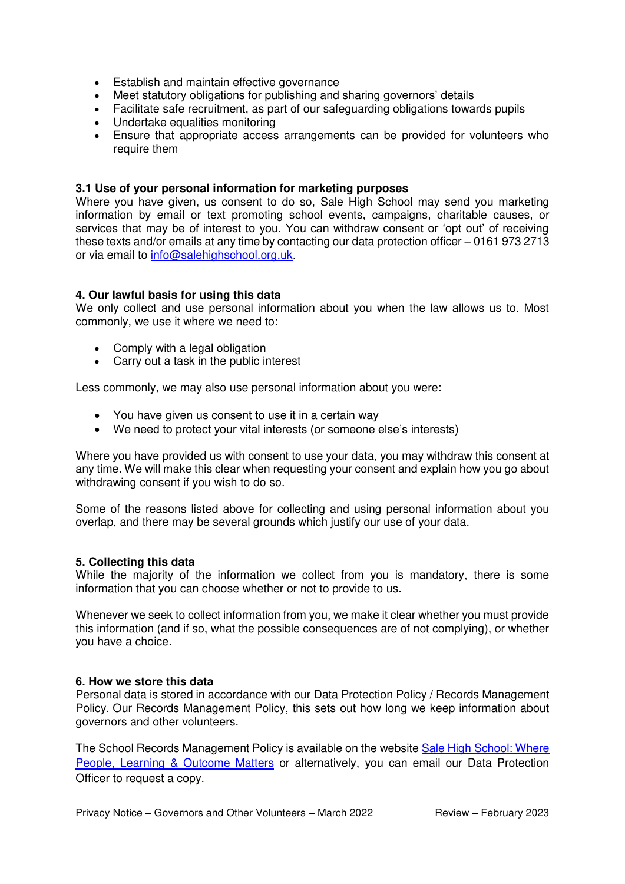- Establish and maintain effective governance
- Meet statutory obligations for publishing and sharing governors' details
- Facilitate safe recruitment, as part of our safeguarding obligations towards pupils
- Undertake equalities monitoring
- Ensure that appropriate access arrangements can be provided for volunteers who require them

## **3.1 Use of your personal information for marketing purposes**

Where you have given, us consent to do so, Sale High School may send you marketing information by email or text promoting school events, campaigns, charitable causes, or services that may be of interest to you. You can withdraw consent or 'opt out' of receiving these texts and/or emails at any time by contacting our data protection officer – 0161 973 2713 or via email to [info@salehighschool.org.uk.](mailto:info@salehighschool.org.uk)

## **4. Our lawful basis for using this data**

We only collect and use personal information about you when the law allows us to. Most commonly, we use it where we need to:

- Comply with a legal obligation
- Carry out a task in the public interest

Less commonly, we may also use personal information about you were:

- You have given us consent to use it in a certain way
- We need to protect your vital interests (or someone else's interests)

Where you have provided us with consent to use your data, you may withdraw this consent at any time. We will make this clear when requesting your consent and explain how you go about withdrawing consent if you wish to do so.

Some of the reasons listed above for collecting and using personal information about you overlap, and there may be several grounds which justify our use of your data.

### **5. Collecting this data**

While the majority of the information we collect from you is mandatory, there is some information that you can choose whether or not to provide to us.

Whenever we seek to collect information from you, we make it clear whether you must provide this information (and if so, what the possible consequences are of not complying), or whether you have a choice.

### **6. How we store this data**

Personal data is stored in accordance with our Data Protection Policy / Records Management Policy. Our Records Management Policy, this sets out how long we keep information about governors and other volunteers.

The School Records Management Policy is available on the websit[e Sale High School: Where](https://salehighschool.org.uk/)  [People, Learning & Outcome Matters](https://salehighschool.org.uk/) or alternatively, you can email our Data Protection Officer to request a copy.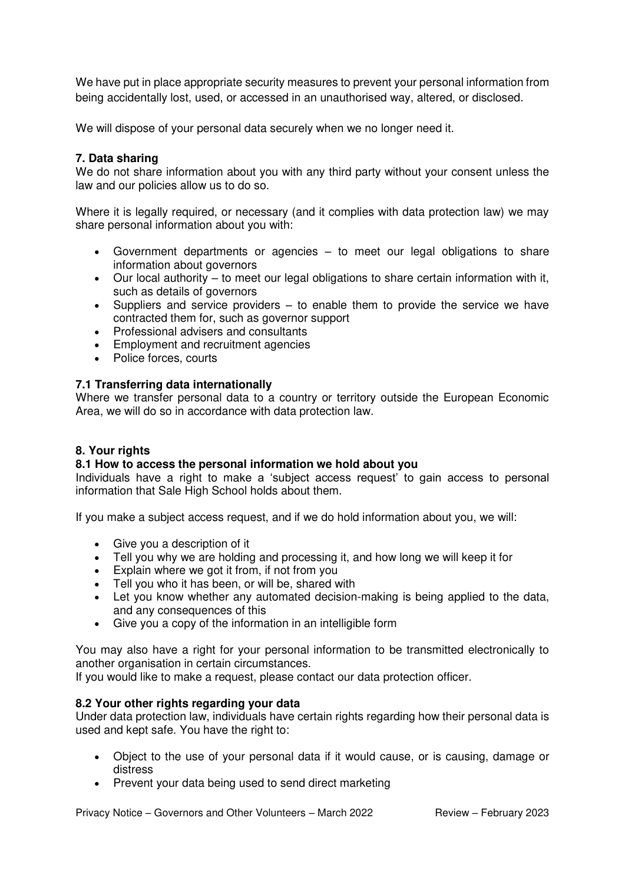We have put in place appropriate security measures to prevent your personal information from being accidentally lost, used, or accessed in an unauthorised way, altered, or disclosed.

We will dispose of your personal data securely when we no longer need it.

## **7. Data sharing**

We do not share information about you with any third party without your consent unless the law and our policies allow us to do so.

Where it is legally required, or necessary (and it complies with data protection law) we may share personal information about you with:

- Government departments or agencies to meet our legal obligations to share information about governors
- Our local authority to meet our legal obligations to share certain information with it, such as details of governors
- $\bullet$  Suppliers and service providers to enable them to provide the service we have contracted them for, such as governor support
- Professional advisers and consultants
- Employment and recruitment agencies
- Police forces, courts

## **7.1 Transferring data internationally**

Where we transfer personal data to a country or territory outside the European Economic Area, we will do so in accordance with data protection law.

## **8. Your rights**

## **8.1 How to access the personal information we hold about you**

Individuals have a right to make a 'subject access request' to gain access to personal information that Sale High School holds about them.

If you make a subject access request, and if we do hold information about you, we will:

- Give you a description of it
- Tell you why we are holding and processing it, and how long we will keep it for
- Explain where we got it from, if not from you
- Tell you who it has been, or will be, shared with
- Let you know whether any automated decision-making is being applied to the data, and any consequences of this
- Give you a copy of the information in an intelligible form

You may also have a right for your personal information to be transmitted electronically to another organisation in certain circumstances.

If you would like to make a request, please contact our data protection officer.

### **8.2 Your other rights regarding your data**

Under data protection law, individuals have certain rights regarding how their personal data is used and kept safe. You have the right to:

- Object to the use of your personal data if it would cause, or is causing, damage or distress
- Prevent your data being used to send direct marketing

Privacy Notice – Governors and Other Volunteers – March 2022 Review – February 2023